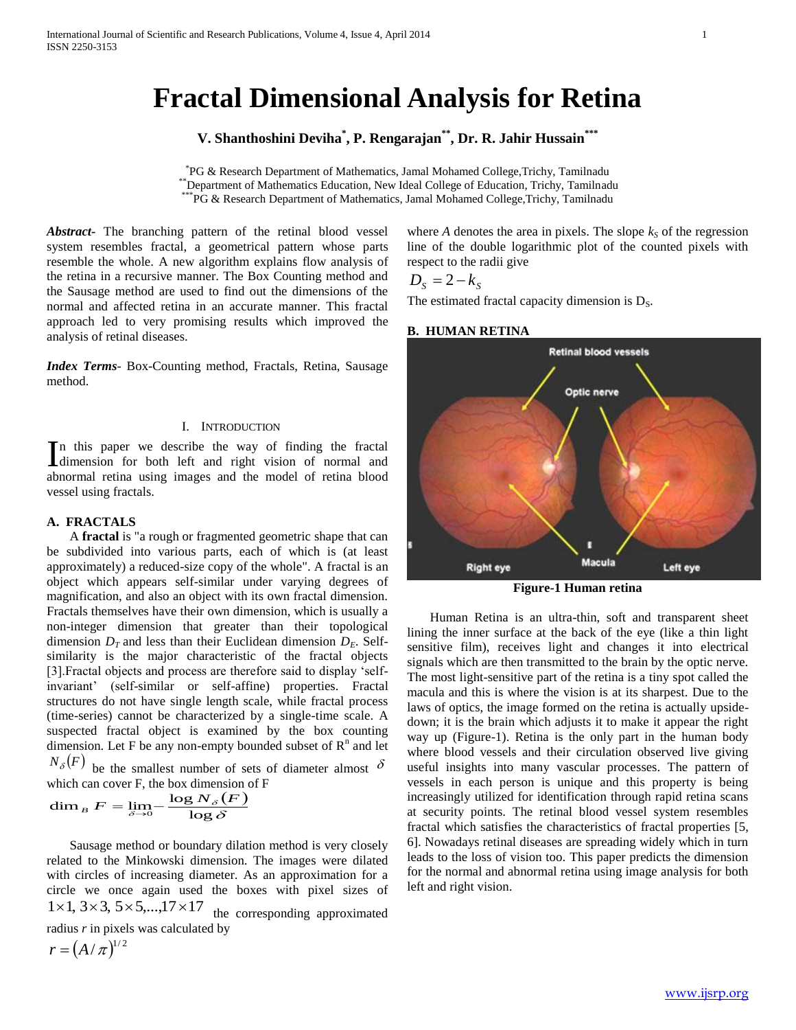# **Fractal Dimensional Analysis for Retina**

**V. Shanthoshini Deviha\* , P. Rengarajan\*\*, Dr. R. Jahir Hussain\*\*\***

\* PG & Research Department of Mathematics, Jamal Mohamed College,Trichy, Tamilnadu \*\*Department of Mathematics Education, New Ideal College of Education, Trichy, Tamilnadu \*\*\*PG & Research Department of Mathematics, Jamal Mohamed College,Trichy, Tamilnadu

*Abstract***-** The branching pattern of the retinal blood vessel system resembles fractal, a geometrical pattern whose parts resemble the whole. A new algorithm explains flow analysis of the retina in a recursive manner. The Box Counting method and the Sausage method are used to find out the dimensions of the normal and affected retina in an accurate manner. This fractal approach led to very promising results which improved the analysis of retinal diseases.

*Index Terms*- Box-Counting method, Fractals, Retina, Sausage method.

### I. INTRODUCTION

n this paper we describe the way of finding the fractal In this paper we describe the way of finding the fractal dimension for both left and right vision of normal and abnormal retina using images and the model of retina blood vessel using fractals.

### **A. FRACTALS**

 A **fractal** is "a rough or fragmented geometric shape that can be subdivided into various parts, each of which is (at least approximately) a reduced-size copy of the whole". A fractal is an object which appears self-similar under varying degrees of magnification, and also an object with its own fractal dimension. Fractals themselves have their own dimension, which is usually a non-integer dimension that greater than their topological dimension  $D_T$  and less than their Euclidean dimension  $D_F$ . Selfsimilarity is the major characteristic of the fractal objects [3].Fractal objects and process are therefore said to display 'selfinvariant' (self-similar or self-affine) properties. Fractal structures do not have single length scale, while fractal process (time-series) cannot be characterized by a single-time scale. A suspected fractal object is examined by the box counting dimension. Let F be any non-empty bounded subset of  $R<sup>n</sup>$  and let  $N_{\delta}(F)$  be the smallest number of sets of diameter almost  $\delta$ 

which can cover F, the box dimension of F  
\n
$$
\dim_B F = \lim_{\delta \to 0} -\frac{\log N_{\delta}(F)}{\log \delta}
$$

 Sausage method or boundary dilation method is very closely related to the Minkowski dimension. The images were dilated with circles of increasing diameter. As an approximation for a circle we once again used the boxes with pixel sizes of  $1\times1, 3\times3, 5\times5,...,17\times17$ the corresponding approximated

radius *r* in pixels was calculated by

$$
r = \left(A/\,\pi\right)^{1/2}
$$

where *A* denotes the area in pixels. The slope  $k<sub>S</sub>$  of the regression line of the double logarithmic plot of the counted pixels with respect to the radii give

$$
D_s = 2 - k_s
$$

The estimated fractal capacity dimension is  $D_s$ .

### **B. HUMAN RETINA**



**Figure-1 Human retina**

 Human Retina is an ultra-thin, soft and transparent sheet lining the inner surface at the back of the eye (like a thin light sensitive film), receives light and changes it into electrical signals which are then transmitted to the brain by the optic nerve. The most light-sensitive part of the retina is a tiny spot called the macula and this is where the vision is at its sharpest. Due to the laws of optics, the image formed on the retina is actually upsidedown; it is the brain which adjusts it to make it appear the right way up (Figure-1). Retina is the only part in the human body where blood vessels and their circulation observed live giving useful insights into many vascular processes. The pattern of vessels in each person is unique and this property is being increasingly utilized for identification through rapid retina scans at security points. The retinal blood vessel system resembles fractal which satisfies the characteristics of fractal properties [5, 6]. Nowadays retinal diseases are spreading widely which in turn leads to the loss of vision too. This paper predicts the dimension for the normal and abnormal retina using image analysis for both left and right vision.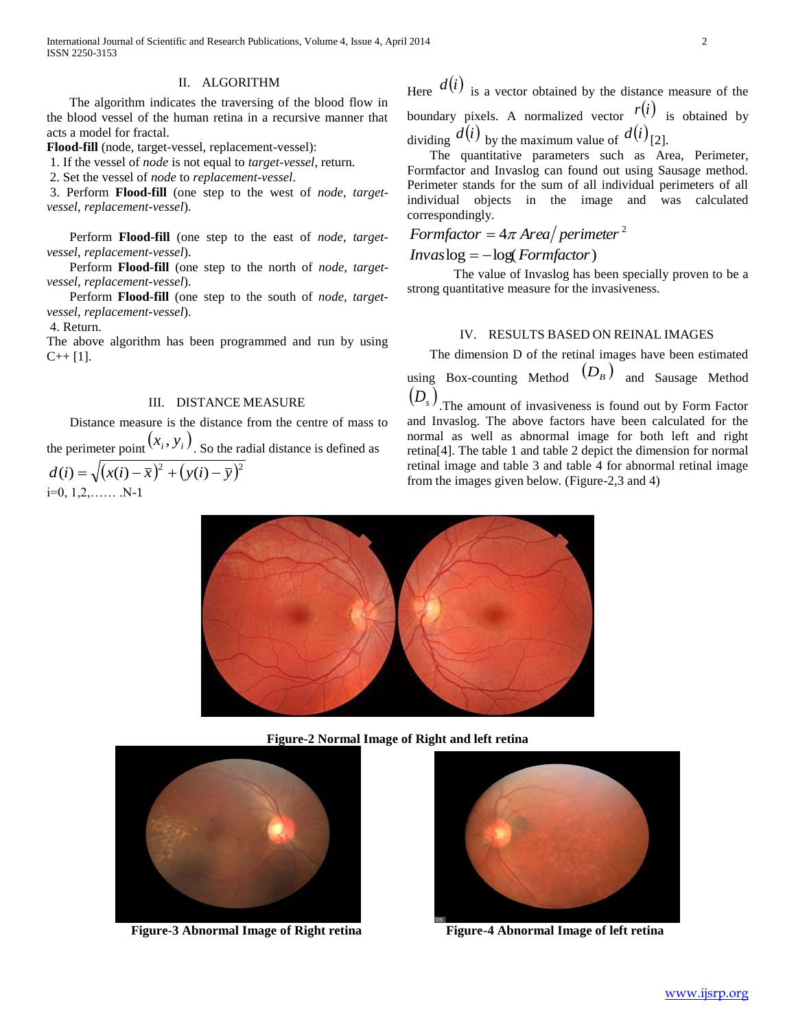International Journal of Scientific and Research Publications, Volume 4, Issue 4, April 2014 2 ISSN 2250-3153

### II. ALGORITHM

 The algorithm indicates the traversing of the blood flow in the blood vessel of the human retina in a recursive manner that acts a model for fractal.

**Flood-fill** (node, target-vessel, replacement-vessel):

1. If the vessel of *node* is not equal to *target-vessel*, return.

2. Set the vessel of *node* to *replacement-vessel*.

3. Perform **Flood-fill** (one step to the west of *node*, *targetvessel*, *replacement-vessel*).

 Perform **Flood-fill** (one step to the east of *node*, *targetvessel*, *replacement-vessel*).

 Perform **Flood-fill** (one step to the north of *node*, *targetvessel*, *replacement-vessel*).

 Perform **Flood-fill** (one step to the south of *node*, *targetvessel*, *replacement-vessel*).

4. Return.

The above algorithm has been programmed and run by using  $C_{++}$  [1].

### III. DISTANCE MEASURE

 Distance measure is the distance from the centre of mass to the perimeter point  $(x_i, y_i)$ . So the radial distance is defined as  $d(i) = \sqrt{(x(i) - \bar{x})^2 + (y(i) - \bar{y})^2}$  $i=0, 1, 2, \ldots$  . N-1

Here  $d(i)$  is a vector obtained by the distance measure of the boundary pixels. A normalized vector  $r(i)$  is obtained by dividing  $d(i)$  by the maximum value of  $d(i)$ <sup>[2]</sup>.

 The quantitative parameters such as Area, Perimeter, Formfactor and Invaslog can found out using Sausage method. Perimeter stands for the sum of all individual perimeters of all individual objects in the image and was calculated correspondingly.

# *Formfactor* =  $4\pi$  *Area perimeter*<sup>2</sup>

 $I$ *nvas* $log = -log(Form factor)$ 

The value of Invaslog has been specially proven to be a strong quantitative measure for the invasiveness.

### IV. RESULTS BASED ON REINAL IMAGES

The dimension D of the retinal images have been estimated

using Box-counting Method  $(D_B)$  and Sausage Method  $(D_s)$ <sub>.The amount of invasiveness is found out by Form Factor</sub>

and Invaslog. The above factors have been calculated for the normal as well as abnormal image for both left and right retina[4]. The table 1 and table 2 depict the dimension for normal retinal image and table 3 and table 4 for abnormal retinal image from the images given below. (Figure-2,3 and 4)



**Figure-2 Normal Image of Right and left retina**



**Figure-3 Abnormal Image of Right retina Figure-4 Abnormal Image of left retina**

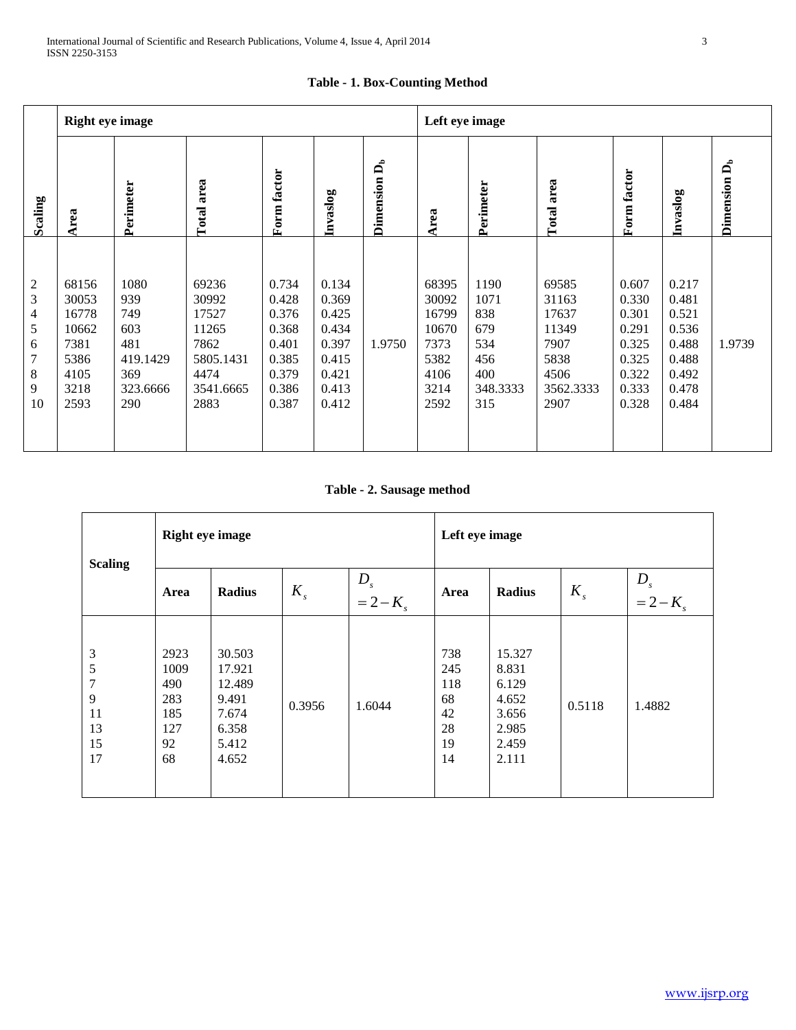|                                                         | <b>Right eye image</b>                                                   |                                                                        |                                                                                    |                                                                               |                                                                               |                          |                                                                          | Left eye image                                                     |                                                                               |                                                                               |                                                                               |                          |  |
|---------------------------------------------------------|--------------------------------------------------------------------------|------------------------------------------------------------------------|------------------------------------------------------------------------------------|-------------------------------------------------------------------------------|-------------------------------------------------------------------------------|--------------------------|--------------------------------------------------------------------------|--------------------------------------------------------------------|-------------------------------------------------------------------------------|-------------------------------------------------------------------------------|-------------------------------------------------------------------------------|--------------------------|--|
| Scaling                                                 | Area                                                                     | Perimeter                                                              | area<br>Total:                                                                     | Form factor                                                                   | Invaslog                                                                      | Dimension D <sub>b</sub> | Area                                                                     | Perimeter                                                          | Total area                                                                    | Form factor                                                                   | Invaslog                                                                      | Dimension D <sub>b</sub> |  |
| $\overline{c}$<br>3<br>4<br>5<br>6<br>7<br>8<br>9<br>10 | 68156<br>30053<br>16778<br>10662<br>7381<br>5386<br>4105<br>3218<br>2593 | 1080<br>939<br>749<br>603<br>481<br>419.1429<br>369<br>323.6666<br>290 | 69236<br>30992<br>17527<br>11265<br>7862<br>5805.1431<br>4474<br>3541.6665<br>2883 | 0.734<br>0.428<br>0.376<br>0.368<br>0.401<br>0.385<br>0.379<br>0.386<br>0.387 | 0.134<br>0.369<br>0.425<br>0.434<br>0.397<br>0.415<br>0.421<br>0.413<br>0.412 | 1.9750                   | 68395<br>30092<br>16799<br>10670<br>7373<br>5382<br>4106<br>3214<br>2592 | 1190<br>1071<br>838<br>679<br>534<br>456<br>400<br>348.3333<br>315 | 69585<br>31163<br>17637<br>11349<br>7907<br>5838<br>4506<br>3562.3333<br>2907 | 0.607<br>0.330<br>0.301<br>0.291<br>0.325<br>0.325<br>0.322<br>0.333<br>0.328 | 0.217<br>0.481<br>0.521<br>0.536<br>0.488<br>0.488<br>0.492<br>0.478<br>0.484 | 1.9739                   |  |

# **Table - 1. Box-Counting Method**

**Table - 2. Sausage method**

| <b>Scaling</b>                           | <b>Right eye image</b>                               |                                                                         |         |                                                  |                                                 | Left eye image                                                        |         |                          |  |  |
|------------------------------------------|------------------------------------------------------|-------------------------------------------------------------------------|---------|--------------------------------------------------|-------------------------------------------------|-----------------------------------------------------------------------|---------|--------------------------|--|--|
|                                          | Area                                                 | <b>Radius</b>                                                           | $K_{s}$ | $\begin{aligned} D_s \\ = 2 - K_s \end{aligned}$ | Area                                            | <b>Radius</b>                                                         | $K_{s}$ | $D_{s}$<br>$= 2 - K_{s}$ |  |  |
| 3<br>5<br>7<br>9<br>11<br>13<br>15<br>17 | 2923<br>1009<br>490<br>283<br>185<br>127<br>92<br>68 | 30.503<br>17.921<br>12.489<br>9.491<br>7.674<br>6.358<br>5.412<br>4.652 | 0.3956  | 1.6044                                           | 738<br>245<br>118<br>68<br>42<br>28<br>19<br>14 | 15.327<br>8.831<br>6.129<br>4.652<br>3.656<br>2.985<br>2.459<br>2.111 | 0.5118  | 1.4882                   |  |  |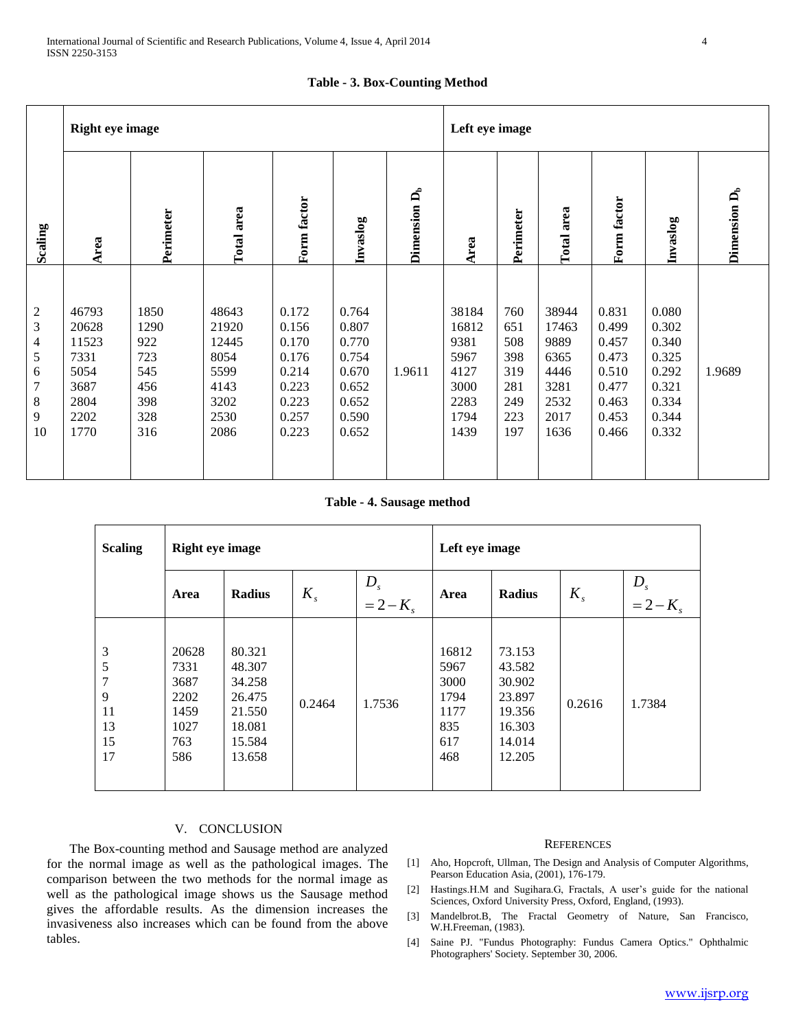|  |  | <b>Table - 3. Box-Counting Method</b> |  |
|--|--|---------------------------------------|--|
|--|--|---------------------------------------|--|

|                                                                  | <b>Right eye image</b>                                                  |                                                               |                                                                         |                                                                               |                                                                               |                          |                                                                        | Left eye image                                              |                                                                        |                                                                               |                                                                               |                          |  |
|------------------------------------------------------------------|-------------------------------------------------------------------------|---------------------------------------------------------------|-------------------------------------------------------------------------|-------------------------------------------------------------------------------|-------------------------------------------------------------------------------|--------------------------|------------------------------------------------------------------------|-------------------------------------------------------------|------------------------------------------------------------------------|-------------------------------------------------------------------------------|-------------------------------------------------------------------------------|--------------------------|--|
| Scaling                                                          | Area                                                                    | Perimeter                                                     | Total area                                                              | Form factor                                                                   | Invaslog                                                                      | Dimension D <sub>b</sub> | Area                                                                   | Perimeter                                                   | Total area                                                             | Form factor                                                                   | Invaslog                                                                      | Dimension D <sub>b</sub> |  |
| $\sqrt{2}$<br>3<br>$\overline{4}$<br>5<br>6<br>7<br>8<br>9<br>10 | 46793<br>20628<br>11523<br>7331<br>5054<br>3687<br>2804<br>2202<br>1770 | 1850<br>1290<br>922<br>723<br>545<br>456<br>398<br>328<br>316 | 48643<br>21920<br>12445<br>8054<br>5599<br>4143<br>3202<br>2530<br>2086 | 0.172<br>0.156<br>0.170<br>0.176<br>0.214<br>0.223<br>0.223<br>0.257<br>0.223 | 0.764<br>0.807<br>0.770<br>0.754<br>0.670<br>0.652<br>0.652<br>0.590<br>0.652 | 1.9611                   | 38184<br>16812<br>9381<br>5967<br>4127<br>3000<br>2283<br>1794<br>1439 | 760<br>651<br>508<br>398<br>319<br>281<br>249<br>223<br>197 | 38944<br>17463<br>9889<br>6365<br>4446<br>3281<br>2532<br>2017<br>1636 | 0.831<br>0.499<br>0.457<br>0.473<br>0.510<br>0.477<br>0.463<br>0.453<br>0.466 | 0.080<br>0.302<br>0.340<br>0.325<br>0.292<br>0.321<br>0.334<br>0.344<br>0.332 | 1.9689                   |  |

**Table - 4. Sausage method**

| <b>Scaling</b>                                        | <b>Right eye image</b>                                      |                                                                              |         |                      | Left eye image                                             |                                                                              |         |                          |  |
|-------------------------------------------------------|-------------------------------------------------------------|------------------------------------------------------------------------------|---------|----------------------|------------------------------------------------------------|------------------------------------------------------------------------------|---------|--------------------------|--|
|                                                       | Area                                                        | <b>Radius</b>                                                                | $K_{s}$ | $D_s$<br>= 2 – $K_s$ | Area                                                       | <b>Radius</b>                                                                | $K_{s}$ | $D_{s}$<br>$= 2 - K_{s}$ |  |
| $\mathfrak{Z}$<br>5<br>7<br>9<br>11<br>13<br>15<br>17 | 20628<br>7331<br>3687<br>2202<br>1459<br>1027<br>763<br>586 | 80.321<br>48.307<br>34.258<br>26.475<br>21.550<br>18.081<br>15.584<br>13.658 | 0.2464  | 1.7536               | 16812<br>5967<br>3000<br>1794<br>1177<br>835<br>617<br>468 | 73.153<br>43.582<br>30.902<br>23.897<br>19.356<br>16.303<br>14.014<br>12.205 | 0.2616  | 1.7384                   |  |

## V. CONCLUSION

 The Box-counting method and Sausage method are analyzed for the normal image as well as the pathological images. The comparison between the two methods for the normal image as well as the pathological image shows us the Sausage method gives the affordable results. As the dimension increases the invasiveness also increases which can be found from the above tables.

### **REFERENCES**

- [1] Aho, Hopcroft, Ullman, The Design and Analysis of Computer Algorithms, Pearson Education Asia, (2001), 176-179.
- [2] Hastings.H.M and Sugihara.G, Fractals, A user's guide for the national Sciences, Oxford University Press, Oxford, England, (1993).
- [3] Mandelbrot.B, The Fractal Geometry of Nature, San Francisco, W.H.Freeman, (1983).
- [4] Saine PJ. "Fundus Photography: Fundus Camera Optics." Ophthalmic Photographers' Society. September 30, 2006.